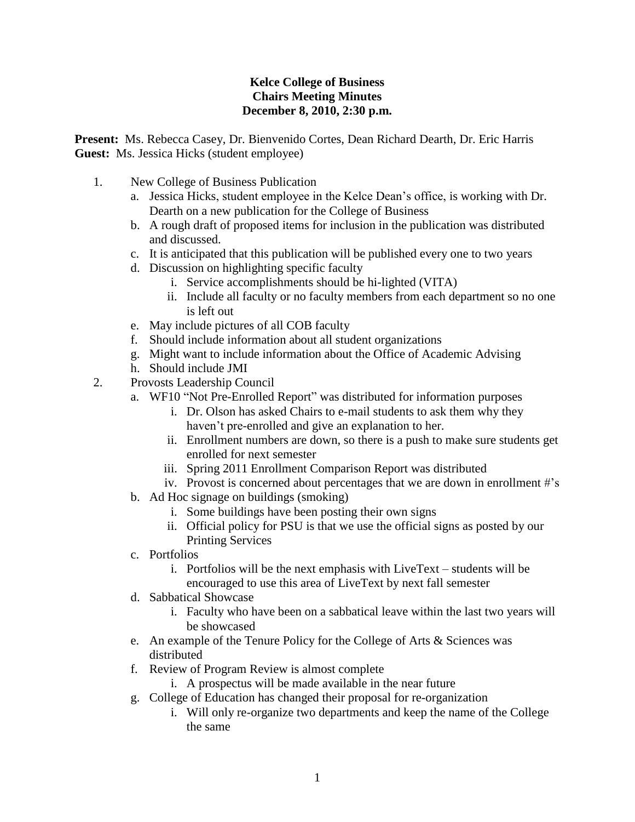## **Kelce College of Business Chairs Meeting Minutes December 8, 2010, 2:30 p.m.**

**Present:** Ms. Rebecca Casey, Dr. Bienvenido Cortes, Dean Richard Dearth, Dr. Eric Harris **Guest:** Ms. Jessica Hicks (student employee)

- 1. New College of Business Publication
	- a. Jessica Hicks, student employee in the Kelce Dean's office, is working with Dr. Dearth on a new publication for the College of Business
	- b. A rough draft of proposed items for inclusion in the publication was distributed and discussed.
	- c. It is anticipated that this publication will be published every one to two years
	- d. Discussion on highlighting specific faculty
		- i. Service accomplishments should be hi-lighted (VITA)
		- ii. Include all faculty or no faculty members from each department so no one is left out
	- e. May include pictures of all COB faculty
	- f. Should include information about all student organizations
	- g. Might want to include information about the Office of Academic Advising
	- h. Should include JMI
- 2. Provosts Leadership Council
	- a. WF10 "Not Pre-Enrolled Report" was distributed for information purposes
		- i. Dr. Olson has asked Chairs to e-mail students to ask them why they haven't pre-enrolled and give an explanation to her.
		- ii. Enrollment numbers are down, so there is a push to make sure students get enrolled for next semester
		- iii. Spring 2011 Enrollment Comparison Report was distributed
		- iv. Provost is concerned about percentages that we are down in enrollment #'s
	- b. Ad Hoc signage on buildings (smoking)
		- i. Some buildings have been posting their own signs
		- ii. Official policy for PSU is that we use the official signs as posted by our Printing Services
	- c. Portfolios
		- i. Portfolios will be the next emphasis with LiveText students will be encouraged to use this area of LiveText by next fall semester
	- d. Sabbatical Showcase
		- i. Faculty who have been on a sabbatical leave within the last two years will be showcased
	- e. An example of the Tenure Policy for the College of Arts & Sciences was distributed
	- f. Review of Program Review is almost complete
		- i. A prospectus will be made available in the near future
	- g. College of Education has changed their proposal for re-organization
		- i. Will only re-organize two departments and keep the name of the College the same